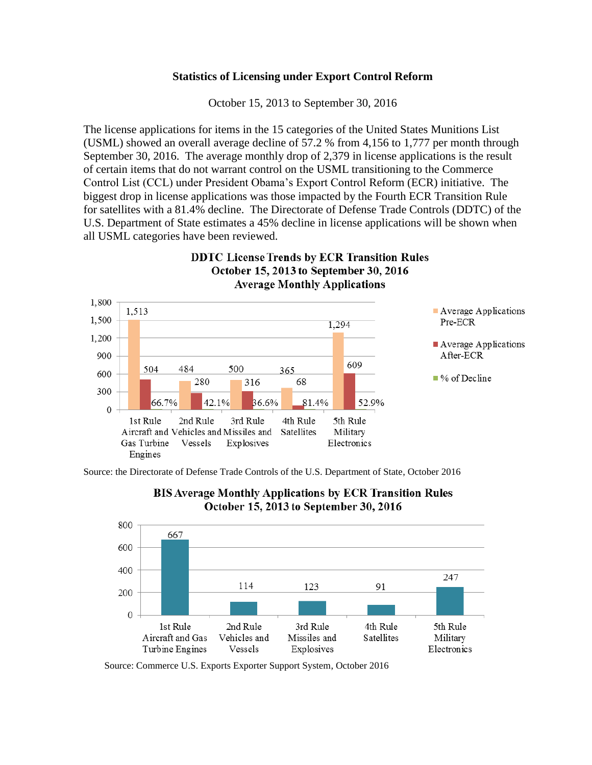## **Statistics of Licensing under Export Control Reform**

October 15, 2013 to September 30, 2016

The license applications for items in the 15 categories of the United States Munitions List (USML) showed an overall average decline of 57.2 % from 4,156 to 1,777 per month through September 30, 2016. The average monthly drop of 2,379 in license applications is the result of certain items that do not warrant control on the USML transitioning to the Commerce Control List (CCL) under President Obama's Export Control Reform (ECR) initiative. The biggest drop in license applications was those impacted by the Fourth ECR Transition Rule for satellites with a 81.4% decline. The Directorate of Defense Trade Controls (DDTC) of the U.S. Department of State estimates a 45% decline in license applications will be shown when all USML categories have been reviewed.

**DDTC License Trends by ECR Transition Rules** 



Source: the Directorate of Defense Trade Controls of the U.S. Department of State, October 2016





Source: Commerce U.S. Exports Exporter Support System, October 2016